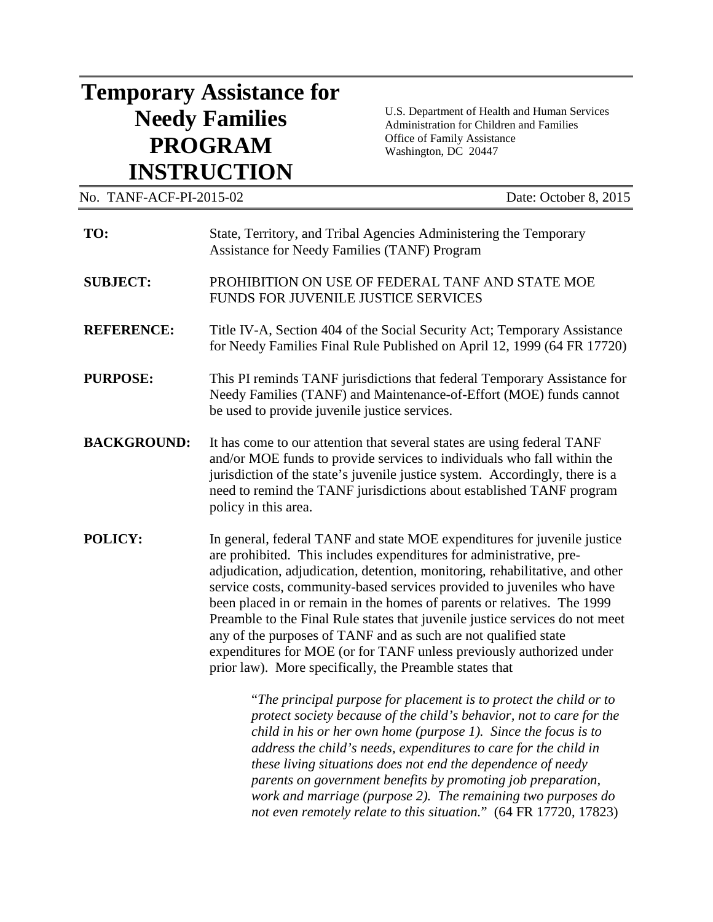## **Temporary Assistance for Needy Families PROGRAM INSTRUCTION**

U.S. Department of Health and Human Services Administration for Children and Families Office of Family Assistance Washington, DC 20447

| No. TANF-ACF-PI-2015-02 |                                                                                                                                                                                                                                                                                                                                                                                                                                                                                                                                                                                                                                                                            | Date: October 8, 2015 |
|-------------------------|----------------------------------------------------------------------------------------------------------------------------------------------------------------------------------------------------------------------------------------------------------------------------------------------------------------------------------------------------------------------------------------------------------------------------------------------------------------------------------------------------------------------------------------------------------------------------------------------------------------------------------------------------------------------------|-----------------------|
| TO:                     | State, Territory, and Tribal Agencies Administering the Temporary<br>Assistance for Needy Families (TANF) Program                                                                                                                                                                                                                                                                                                                                                                                                                                                                                                                                                          |                       |
| <b>SUBJECT:</b>         | PROHIBITION ON USE OF FEDERAL TANF AND STATE MOE<br>FUNDS FOR JUVENILE JUSTICE SERVICES                                                                                                                                                                                                                                                                                                                                                                                                                                                                                                                                                                                    |                       |
| <b>REFERENCE:</b>       | Title IV-A, Section 404 of the Social Security Act; Temporary Assistance<br>for Needy Families Final Rule Published on April 12, 1999 (64 FR 17720)                                                                                                                                                                                                                                                                                                                                                                                                                                                                                                                        |                       |
| <b>PURPOSE:</b>         | This PI reminds TANF jurisdictions that federal Temporary Assistance for<br>Needy Families (TANF) and Maintenance-of-Effort (MOE) funds cannot<br>be used to provide juvenile justice services.                                                                                                                                                                                                                                                                                                                                                                                                                                                                            |                       |
| <b>BACKGROUND:</b>      | It has come to our attention that several states are using federal TANF<br>and/or MOE funds to provide services to individuals who fall within the<br>jurisdiction of the state's juvenile justice system. Accordingly, there is a<br>need to remind the TANF jurisdictions about established TANF program<br>policy in this area.                                                                                                                                                                                                                                                                                                                                         |                       |
| POLICY:                 | In general, federal TANF and state MOE expenditures for juvenile justice<br>are prohibited. This includes expenditures for administrative, pre-<br>adjudication, adjudication, detention, monitoring, rehabilitative, and other<br>service costs, community-based services provided to juveniles who have<br>been placed in or remain in the homes of parents or relatives. The 1999<br>Preamble to the Final Rule states that juvenile justice services do not meet<br>any of the purposes of TANF and as such are not qualified state<br>expenditures for MOE (or for TANF unless previously authorized under<br>prior law). More specifically, the Preamble states that |                       |
|                         | "The principal purpose for placement is to protect the child or to<br>protect society because of the child's behavior, not to care for the<br>child in his or her own home (purpose 1). Since the focus is to                                                                                                                                                                                                                                                                                                                                                                                                                                                              |                       |

*address the child's needs, expenditures to care for the child in these living situations does not end the dependence of needy parents on government benefits by promoting job preparation, work and marriage (purpose 2). The remaining two purposes do not even remotely relate to this situation.*" (64 FR 17720, 17823)